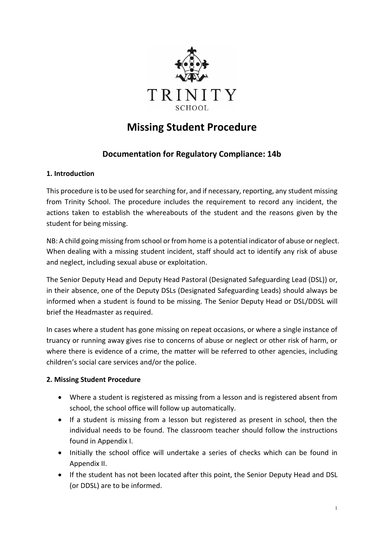

# **Missing Student Procedure**

# **Documentation for Regulatory Compliance: 14b**

## **1. Introduction**

This procedure is to be used for searching for, and if necessary, reporting, any student missing from Trinity School. The procedure includes the requirement to record any incident, the actions taken to establish the whereabouts of the student and the reasons given by the student for being missing.

NB: A child going missing from school or from home is a potential indicator of abuse or neglect. When dealing with a missing student incident, staff should act to identify any risk of abuse and neglect, including sexual abuse or exploitation.

The Senior Deputy Head and Deputy Head Pastoral (Designated Safeguarding Lead (DSL)) or, in their absence, one of the Deputy DSLs (Designated Safeguarding Leads) should always be informed when a student is found to be missing. The Senior Deputy Head or DSL/DDSL will brief the Headmaster as required.

In cases where a student has gone missing on repeat occasions, or where a single instance of truancy or running away gives rise to concerns of abuse or neglect or other risk of harm, or where there is evidence of a crime, the matter will be referred to other agencies, including children's social care services and/or the police.

#### **2. Missing Student Procedure**

- Where a student is registered as missing from a lesson and is registered absent from school, the school office will follow up automatically.
- If a student is missing from a lesson but registered as present in school, then the individual needs to be found. The classroom teacher should follow the instructions found in Appendix I.
- Initially the school office will undertake a series of checks which can be found in Appendix II.
- If the student has not been located after this point, the Senior Deputy Head and DSL (or DDSL) are to be informed.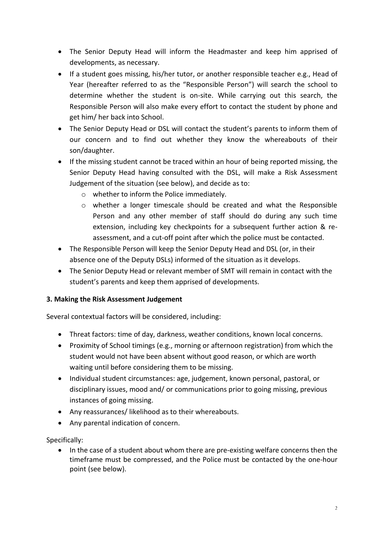- The Senior Deputy Head will inform the Headmaster and keep him apprised of developments, as necessary.
- If a student goes missing, his/her tutor, or another responsible teacher e.g., Head of Year (hereafter referred to as the "Responsible Person") will search the school to determine whether the student is on-site. While carrying out this search, the Responsible Person will also make every effort to contact the student by phone and get him/ her back into School.
- The Senior Deputy Head or DSL will contact the student's parents to inform them of our concern and to find out whether they know the whereabouts of their son/daughter.
- If the missing student cannot be traced within an hour of being reported missing, the Senior Deputy Head having consulted with the DSL, will make a Risk Assessment Judgement of the situation (see below), and decide as to:
	- o whether to inform the Police immediately.
	- o whether a longer timescale should be created and what the Responsible Person and any other member of staff should do during any such time extension, including key checkpoints for a subsequent further action & reassessment, and a cut-off point after which the police must be contacted.
- The Responsible Person will keep the Senior Deputy Head and DSL (or, in their absence one of the Deputy DSLs) informed of the situation as it develops.
- The Senior Deputy Head or relevant member of SMT will remain in contact with the student's parents and keep them apprised of developments.

#### **3. Making the Risk Assessment Judgement**

Several contextual factors will be considered, including:

- Threat factors: time of day, darkness, weather conditions, known local concerns.
- Proximity of School timings (e.g., morning or afternoon registration) from which the student would not have been absent without good reason, or which are worth waiting until before considering them to be missing.
- Individual student circumstances: age, judgement, known personal, pastoral, or disciplinary issues, mood and/ or communications prior to going missing, previous instances of going missing.
- Any reassurances/ likelihood as to their whereabouts.
- Any parental indication of concern.

Specifically:

• In the case of a student about whom there are pre-existing welfare concerns then the timeframe must be compressed, and the Police must be contacted by the one-hour point (see below).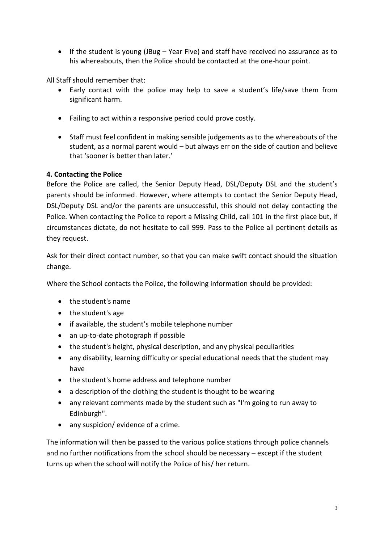• If the student is young (JBug – Year Five) and staff have received no assurance as to his whereabouts, then the Police should be contacted at the one-hour point.

All Staff should remember that:

- Early contact with the police may help to save a student's life/save them from significant harm.
- Failing to act within a responsive period could prove costly.
- Staff must feel confident in making sensible judgements as to the whereabouts of the student, as a normal parent would – but always err on the side of caution and believe that 'sooner is better than later.'

## **4. Contacting the Police**

Before the Police are called, the Senior Deputy Head, DSL/Deputy DSL and the student's parents should be informed. However, where attempts to contact the Senior Deputy Head, DSL/Deputy DSL and/or the parents are unsuccessful, this should not delay contacting the Police. When contacting the Police to report a Missing Child, call 101 in the first place but, if circumstances dictate, do not hesitate to call 999. Pass to the Police all pertinent details as they request.

Ask for their direct contact number, so that you can make swift contact should the situation change.

Where the School contacts the Police, the following information should be provided:

- the student's name
- the student's age
- if available, the student's mobile telephone number
- an up-to-date photograph if possible
- the student's height, physical description, and any physical peculiarities
- any disability, learning difficulty or special educational needs that the student may have
- the student's home address and telephone number
- a description of the clothing the student is thought to be wearing
- any relevant comments made by the student such as "I'm going to run away to Edinburgh".
- any suspicion/ evidence of a crime.

The information will then be passed to the various police stations through police channels and no further notifications from the school should be necessary – except if the student turns up when the school will notify the Police of his/ her return.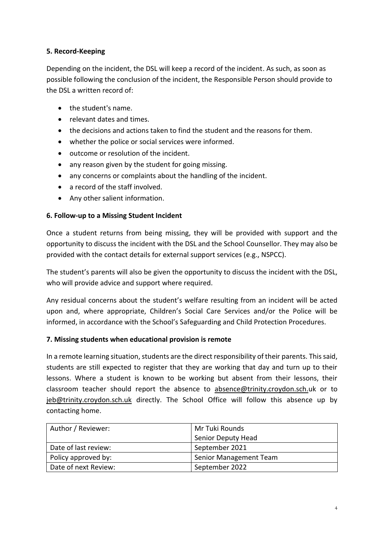## **5. Record-Keeping**

Depending on the incident, the DSL will keep a record of the incident. As such, as soon as possible following the conclusion of the incident, the Responsible Person should provide to the DSL a written record of:

- the student's name.
- relevant dates and times.
- the decisions and actions taken to find the student and the reasons for them.
- whether the police or social services were informed.
- outcome or resolution of the incident.
- any reason given by the student for going missing.
- any concerns or complaints about the handling of the incident.
- a record of the staff involved.
- Any other salient information.

#### **6. Follow-up to a Missing Student Incident**

Once a student returns from being missing, they will be provided with support and the opportunity to discuss the incident with the DSL and the School Counsellor. They may also be provided with the contact details for external support services (e.g., NSPCC).

The student's parents will also be given the opportunity to discuss the incident with the DSL, who will provide advice and support where required.

Any residual concerns about the student's welfare resulting from an incident will be acted upon and, where appropriate, Children's Social Care Services and/or the Police will be informed, in accordance with the School's Safeguarding and Child Protection Procedures.

#### **7. Missing students when educational provision is remote**

In a remote learning situation, students are the direct responsibility of their parents. This said, students are still expected to register that they are working that day and turn up to their lessons. Where a student is known to be working but absent from their lessons, their classroom teacher should report the absence to [absence@trinity.croydon.sch.uk or to](mailto:absence@trinity.croydon.sch.uk)  [jeb@trinity.croydon.sch.uk](mailto:absence@trinity.croydon.sch.uk) directly. The School Office will follow this absence up by contacting home.

| Author / Reviewer:   | Mr Tuki Rounds         |
|----------------------|------------------------|
|                      | Senior Deputy Head     |
| Date of last review: | September 2021         |
| Policy approved by:  | Senior Management Team |
| Date of next Review: | September 2022         |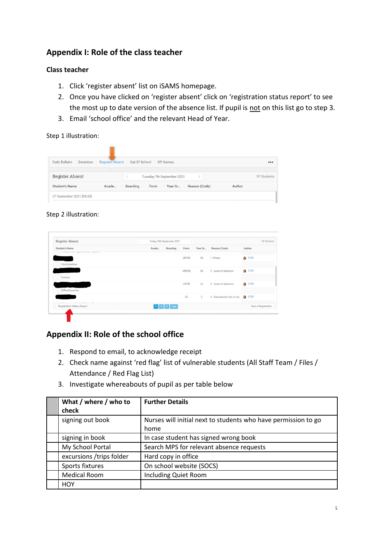## **Appendix I: Role of the class teacher**

#### **Class teacher**

- 1. Click 'register absent' list on iSAMS homepage.
- 2. Once you have clicked on 'register absent' click on 'registration status report' to see the most up to date version of the absence list. If pupil is not on this list go to step 3.
- 3. Email 'school office' and the relevant Head of Year.

Step 1 illustration:

| Daily Bulletin<br>Detention | <b>Register Absent</b> | Out Of School   |      | Off Games                  |               |        |             |
|-----------------------------|------------------------|-----------------|------|----------------------------|---------------|--------|-------------|
| <b>Register Absent</b>      |                        |                 |      | Tuesday 7th September 2021 |               |        | 97 Students |
| <b>Student's Name</b>       | Acade                  | <b>Boarding</b> | Form | Year Gr                    | Reason (Code) | Author |             |
| 07 September 2021 [08:30]   |                        |                 |      |                            |               |        |             |

#### Step 2 illustration:

| Student's Name                                  | Acade | Boarding                    | Form  |                | Year Gr Reason (Code)         | Author           |                     |
|-------------------------------------------------|-------|-----------------------------|-------|----------------|-------------------------------|------------------|---------------------|
| THE REPORT OF THE THE OWNER WAS CITED FOR DWOL. |       |                             |       |                |                               |                  |                     |
|                                                 |       |                             | U6FXD | U6             | I-Illness                     | $\Omega$<br>5789 |                     |
| Covid positive.                                 |       |                             |       |                |                               |                  |                     |
|                                                 |       |                             | U6RCB | U6             | C - Leave of absence          | 6 5789           |                     |
| Funeral.                                        |       |                             |       |                |                               |                  |                     |
|                                                 |       |                             | L6PJB | L6             | C - Leave of absence          | <b>a</b> 5789    |                     |
| Difficult journey.                              |       |                             |       |                |                               |                  |                     |
|                                                 |       |                             | 2C    | $\overline{2}$ | V - Educational visit or trip | 6 5789           |                     |
| ----                                            |       |                             |       |                |                               |                  |                     |
| Registration Status Report                      |       | $1 \mid 2 \mid 3 \mid$ Last |       |                |                               |                  | Take a Registration |

## **Appendix II: Role of the school office**

- 1. Respond to email, to acknowledge receipt
- 2. Check name against 'red flag' list of vulnerable students (All Staff Team / Files / Attendance / Red Flag List)
- 3. Investigate whereabouts of pupil as per table below

| What / where / who to<br>check | <b>Further Details</b>                                                 |
|--------------------------------|------------------------------------------------------------------------|
| signing out book               | Nurses will initial next to students who have permission to go<br>home |
| signing in book                | In case student has signed wrong book                                  |
| My School Portal               | Search MPS for relevant absence requests                               |
| excursions /trips folder       | Hard copy in office                                                    |
| Sports fixtures                | On school website (SOCS)                                               |
| <b>Medical Room</b>            | Including Quiet Room                                                   |
| <b>HOY</b>                     |                                                                        |